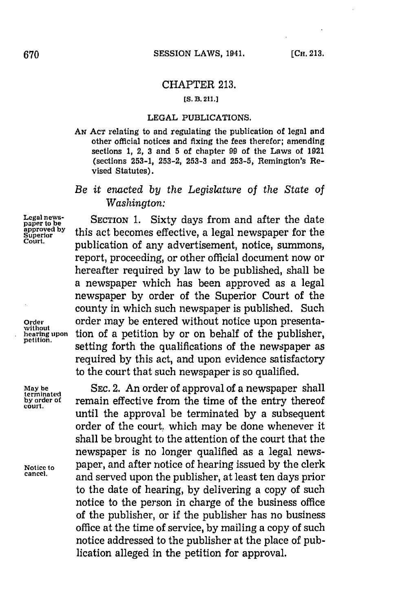## CHAPTER **213.**

## **[S. B. 211.J**

## **LEGAL** PUBLICATIONS.

**AN ACT** relating to and regulating the publication of legal and other official notices and fixing the fees therefor; amending sections **1,** 2, **3** and **5** of chapter **99** of the Laws of **1921** (sections **253-1, 253-2, 253-3** and **253-5,** Remington's Revised Statutes).

## *Be it enacted by the Legislature of the State of Washington:*

Legal news-<br>
paper to be<br> **SECTION 1.** Sixty days from and after the date<br> **supproved by** this act becomes effective a local november for the approved by this act becomes effective, a legal newspaper for the **Court,** publication of any advertisement, notice, summons, report, proceeding, or other official document now or hereafter required **by** law to be published, shall be a newspaper which has been approved as a legal newspaper **by** order of the Superior Court of the county in which such newspaper is published. Such **Order** order may be entered without notice upon presenta**hearing upon** tion of a petition by or on behalf of the publisher, petition. **EXECUTE: performed**  $\frac{1}{2}$  **performed**  $\frac{1}{2}$  **performed**  $\frac{1}{2}$  **performed**  $\frac{1}{2}$  **performed**  $\frac{1}{2}$  **performed**  $\frac{1}{2}$  **performed**  $\frac{1}{2}$  **performed**  $\frac{1}{2}$  **performed**  $\frac{1}{2}$  **pe** required **by** this act, and upon evidence satisfactory to the court that such newspaper is so qualified.

**SEC. 2.** An order of approval of a newspaper shall remain effective from the time of the entry thereof until the approval be terminated **by** a subsequent order of the court, which may be done whenever it shall be brought to the attention of the court that the newspaper is no longer qualified as a legal news-**Notice to** paper, and after notice of hearing issued **by** the clerk **cancel,** and served upon the publisher, at least ten days prior to the date of hearing, **by** delivering a copy of such notice to the person in charge of the business office of the publisher, or if the publisher has no business office at the time of service, **by** mailing a copy of such notice addressed to the publisher at the place of publication alleged in the petition for approval.

**May be**<br>terminated<br>by order of **court.**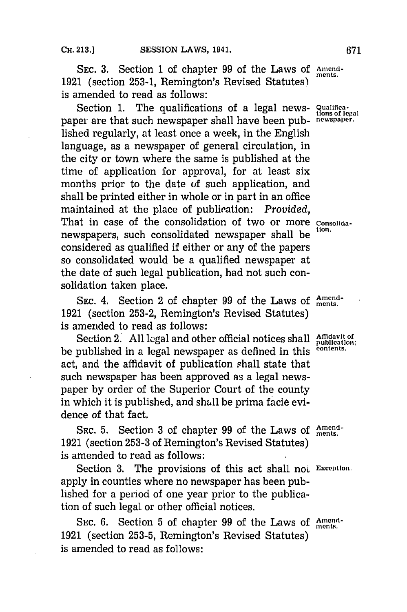SEC. 3. Section 1 of chapter 99 of the Laws of Amend-**1921** (section **253-1,** Remington's Revised Statutes)~ is amended to read as follows:

Section 1. The qualifications of a legal news- **Qualifications** of legal paper are that such newspaper shall have been pub- **newspapecr.** lished regularly, at least once a week, in the English language, as a newspaper of general circulation, in the city or town where the same is published at the time of application for approval, for at least six months prior to the date of such application, and shall be printed either in whole or in part in an office maintained at the place of publication: *Provided*. That in case of the consolidation of two or more consolidanewspapers, such consolidated newspaper shall be considered as qualified if either or any of the papers so consolidated would be a qualified newspaper at the date of such legal publication, had not such consolidation taken place.

SEC. 4. Section 2 of chapter 99 of the Laws of  $\frac{Amend}{ments}$ . **1921** (section **253-2,** Remington's Revised Statutes) is amended to read as follows:

Section 2. All legal and other official notices shall Affidavit of publication; be published in a legal newspaper as defined in this <sup>contents.</sup> act, and the affidavit of publication shall state that such newspaper has been approved as a legal newspaper **by** order of the Superior Court of the county in which it is published, and shall be prima facie evidence of that fact.

SEC. 5. Section 3 of chapter 99 of the Laws of  $\frac{Amount}{ments}$ . **1921** (section **253-3** of Remington's Revised Statutes) is amended to read as follows:

Section 3. The provisions of this act shall not Exception. apply in counties where no newspaper has been published for a period of one year prior to the publication of such legal or other official notices.

SEC. 6. Section 5 of chapter 99 of the Laws of Amend-**1921** (section **253-5,** Remington's Revised Statutes) is amended to read as follows: